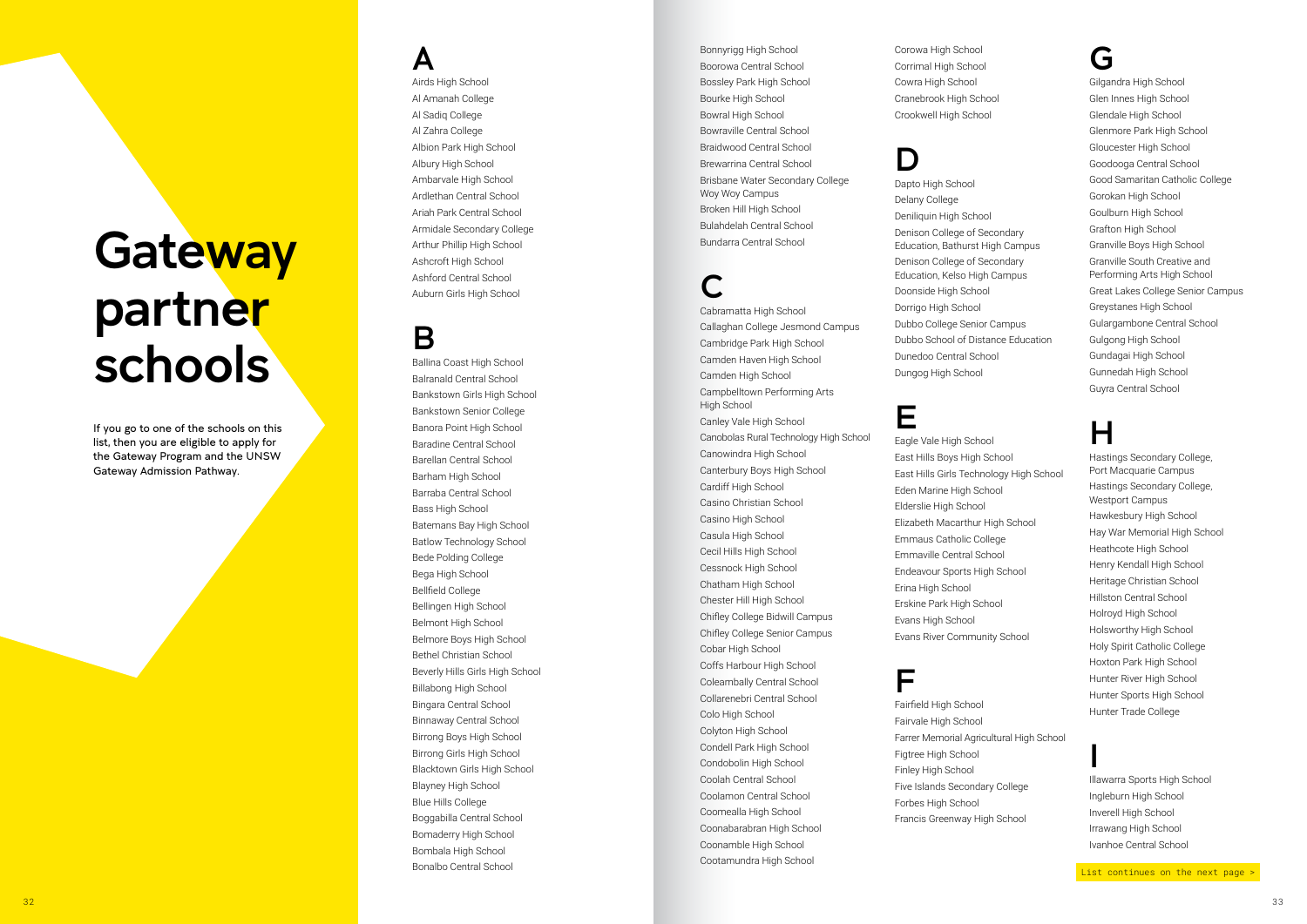A Airds High School Al Amanah College Al Sadiq College Al Zahra College Albion Park High School Albury High School Ambarvale High School Ardlethan Central School Ariah Park Central School Armidale Secondary College Arthur Phillip High School Ashcroft High School Ashford Central School Auburn Girls High School

#### B

# **Gateway** partner schools

Ballina Coast High School Balranald Central School Bankstown Girls High School Bankstown Senior College Banora Point High School Baradine Central School Barellan Central School Barham High School Barraba Central School Bass High School Batemans Bay High School Batlow Technology School Bede Polding College Bega High School Bellfield College Bellingen High School Belmont High School Belmore Boys High School Bethel Christian School Beverly Hills Girls High School Billabong High School Bingara Central School Binnaway Central School Birrong Boys High School Birrong Girls High School Blacktown Girls High School Blayney High School Blue Hills College Boggabilla Central School Bomaderry High School Bombala High School Bonalbo Central School

If you go to one of the schools on this list, then you are eligible to apply for the Gateway Program and the UNSW Gateway Admission Pathway.

Bonnyrigg High School Boorowa Central School Bossley Park High School Bourke High School Bowral High School Bowraville Central School Braidwood Central School Brewarrina Central School Brisbane Water Secondary College Woy Woy Campus Broken Hill High School Bulahdelah Central School Bundarra Central School

#### C

Cabramatta High School Callaghan College Jesmond Campus Cambridge Park High School Camden Haven High School Camden High School Campbelltown Performing Arts High School Canley Vale High School Canobolas Rural Technology High School Canowindra High School Canterbury Boys High School Cardiff High School Casino Christian School Casino High School Casula High School Cecil Hills High School Cessnock High School Chatham High School Chester Hill High School Chifley College Bidwill Campus Chifley College Senior Campus Cobar High School Coffs Harbour High School Coleambally Central School Collarenebri Central School Colo High School Colyton High School Condell Park High School Condobolin High School Coolah Central School Coolamon Central School Coomealla High School Coonabarabran High School Coonamble High School Cootamundra High School

Corowa High School Corrimal High School Cowra High School Cranebrook High School Crookwell High School

#### D

Dapto High School Delany College Deniliquin High School Denison College of Secondary Education, Bathurst High Campus Denison College of Secondary Education, Kelso High Campus Doonside High School Dorrigo High School Dubbo College Senior Campus Dubbo School of Distance Education Dunedoo Central School Dungog High School

#### E

Eagle Vale High School East Hills Boys High School East Hills Girls Technology High School Eden Marine High School Elderslie High School Elizabeth Macarthur High School Emmaus Catholic College Emmaville Central School Endeavour Sports High School Erina High School Erskine Park High School Evans High School Evans River Community School

#### F

Fairfield High School Fairvale High School Farrer Memorial Agricultural High School Figtree High School Finley High School Five Islands Secondary College Forbes High School Francis Greenway High School

#### G

Gilgandra High School Glen Innes High School Glendale High School Glenmore Park High School Gloucester High School Goodooga Central School Good Samaritan Catholic College Gorokan High School Goulburn High School Grafton High School Granville Boys High School Granville South Creative and Performing Arts High School Great Lakes College Senior Campus Greystanes High School Gulargambone Central School Gulgong High School Gundagai High School Gunnedah High School Guyra Central School

#### H

Hastings Secondary College, Port Macquarie Campus Hastings Secondary College, Westport Campus Hawkesbury High School Hay War Memorial High School Heathcote High School Henry Kendall High School Heritage Christian School Hillston Central School Holroyd High School Holsworthy High School Holy Spirit Catholic College Hoxton Park High School Hunter River High School Hunter Sports High School Hunter Trade College

I Illawarra Sports High School Ingleburn High School Inverell High School Irrawang High School Ivanhoe Central School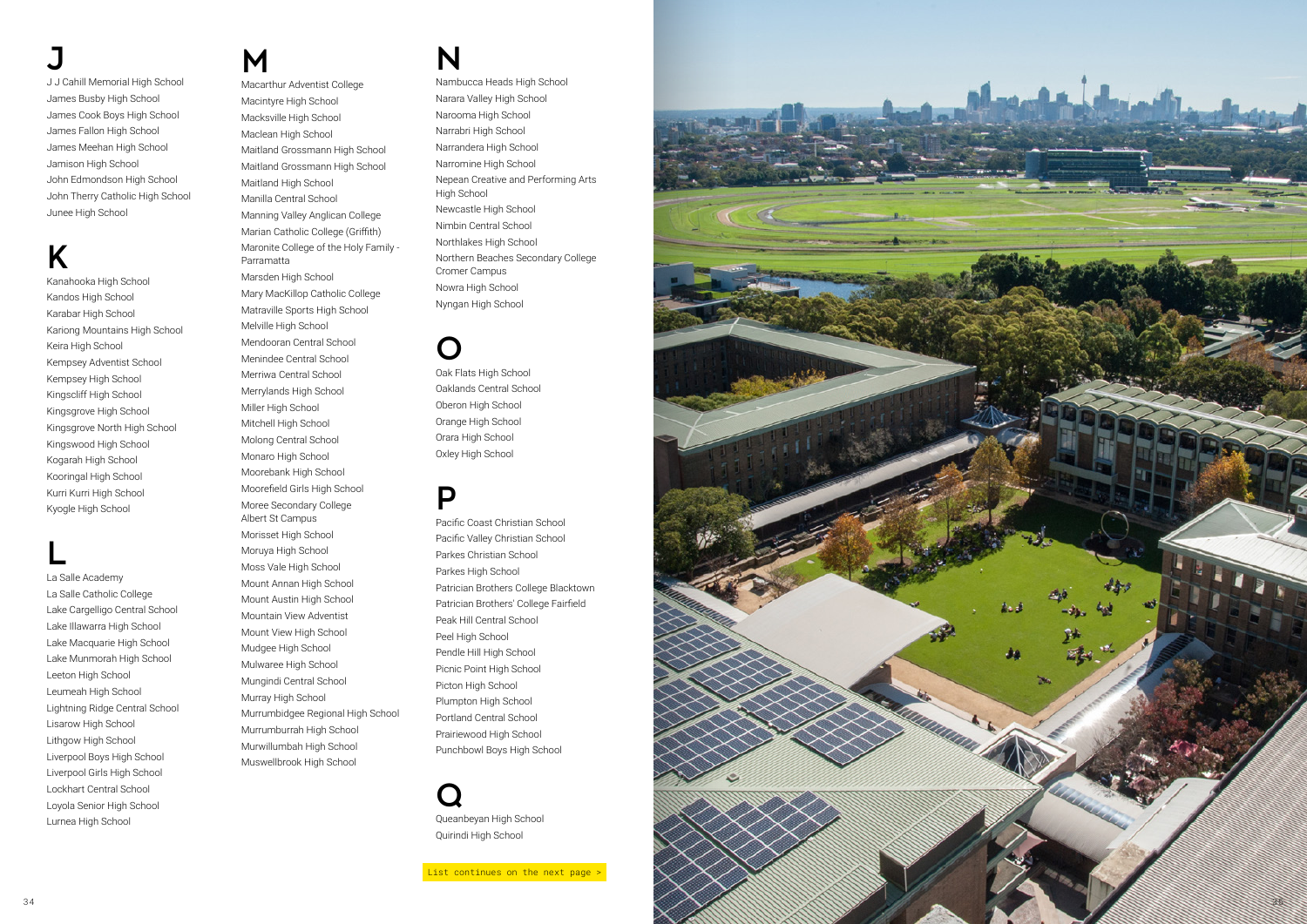### J

J J Cahill Memorial High School James Busby High School James Cook Boys High School James Fallon High School James Meehan High School Jamison High School John Edmondson High School John Therry Catholic High School Junee High School

## K

Kanahooka High School Kandos High School Karabar High School Kariong Mountains High School Keira High School Kempsey Adventist School Kempsey High School Kingscliff High School Kingsgrove High School Kingsgrove North High School Kingswood High School Kogarah High School Kooringal High School Kurri Kurri High School Kyogle High School

#### L

La Salle Academy La Salle Catholic College Lake Cargelligo Central School Lake Illawarra High School Lake Macquarie High School Lake Munmorah High School Leeton High School Leumeah High School Lightning Ridge Central School Lisarow High School Lithgow High School Liverpool Boys High School Liverpool Girls High School Lockhart Central School Loyola Senior High School Lurnea High School

#### M

Macarthur Adventist College Macintyre High School Macksville High School Maclean High School Maitland Grossmann High School Maitland Grossmann High School Maitland High School Manilla Central School Manning Valley Anglican College Marian Catholic College (Griffith) Maronite College of the Holy Family - Parramatta Marsden High School Mary MacKillop Catholic College Matraville Sports High School Melville High School Mendooran Central School Menindee Central School Merriwa Central School Merrylands High School Miller High School Mitchell High School Molong Central School Monaro High School Moorebank High School Moorefield Girls High School Moree Secondary College Albert St Campus Morisset High School Moruya High School Moss Vale High School Mount Annan High School Mount Austin High School Mountain View Adventist Mount View High School Mudgee High School Mulwaree High School Mungindi Central School Murray High School Murrumbidgee Regional High School

Murrumburrah High School Murwillumbah High School Muswellbrook High School

#### N

Nambucca Heads High School Narara Valley High School Narooma High School Narrabri High School Narrandera High School Narromine High School Nepean Creative and Performing Arts High School Newcastle High School Nimbin Central School Northlakes High School Northern Beaches Secondary College Cromer Campus Nowra High School Nyngan High School

#### O

Oak Flats High School Oaklands Central School Oberon High School Orange High School Orara High School Oxley High School

#### P

Pacific Coast Christian School Pacific Valley Christian School Parkes Christian School Parkes High School Patrician Brothers College Blacktown Patrician Brothers' College Fairfield Peak Hill Central School Peel High School Pendle Hill High School Picnic Point High School Picton High School Plumpton High School Portland Central School Prairiewood High School Punchbowl Boys High School

Q Queanbeyan High School Quirindi High School

List continues on the next page >